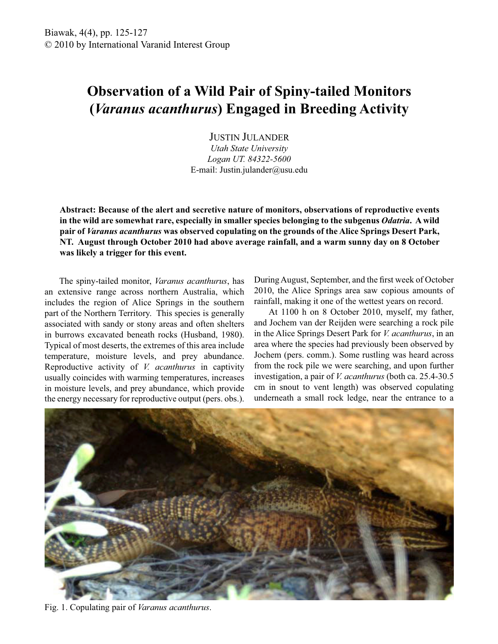## **Observation of a Wild Pair of Spiny-tailed Monitors (***Varanus acanthurus***) Engaged in Breeding Activity**

JUSTIN JULANDER *Utah State University Logan UT. 84322-5600*

E-mail: Justin.julander@usu.edu

**Abstract: Because of the alert and secretive nature of monitors, observations of reproductive events in the wild are somewhat rare, especially in smaller species belonging to the subgenus** *Odatria***. A wild pair of** *Varanus acanthurus* **was observed copulating on the grounds of the Alice Springs Desert Park, NT. August through October 2010 had above average rainfall, and a warm sunny day on 8 October was likely a trigger for this event.** 

 The spiny-tailed monitor, *Varanus acanthurus*, has an extensive range across northern Australia, which includes the region of Alice Springs in the southern part of the Northern Territory. This species is generally associated with sandy or stony areas and often shelters in burrows excavated beneath rocks (Husband, 1980). Typical of most deserts, the extremes of this area include temperature, moisture levels, and prey abundance. Reproductive activity of *V. acanthurus* in captivity usually coincides with warming temperatures, increases in moisture levels, and prey abundance, which provide the energy necessary for reproductive output (pers. obs.).

During August, September, and the first week of October 2010, the Alice Springs area saw copious amounts of rainfall, making it one of the wettest years on record.

 At 1100 h on 8 October 2010, myself, my father, and Jochem van der Reijden were searching a rock pile in the Alice Springs Desert Park for *V. acanthurus*, in an area where the species had previously been observed by Jochem (pers. comm.). Some rustling was heard across from the rock pile we were searching, and upon further investigation, a pair of *V. acanthurus* (both ca. 25.4-30.5 cm in snout to vent length) was observed copulating underneath a small rock ledge, near the entrance to a



Fig. 1. Copulating pair of *Varanus acanthurus*.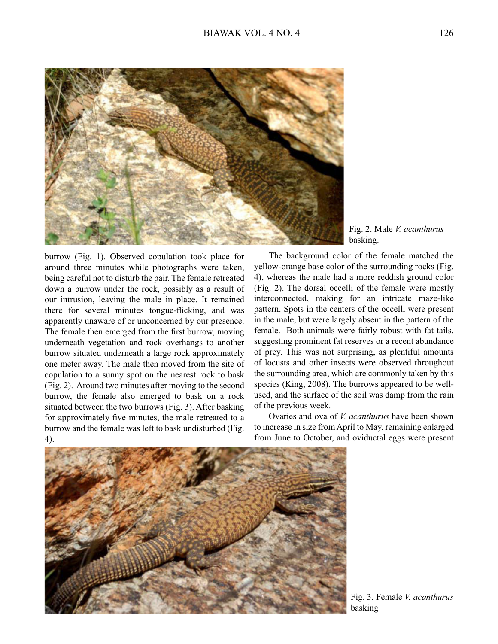

Fig. 2. Male *V. acanthurus* basking.

burrow (Fig. 1). Observed copulation took place for around three minutes while photographs were taken, being careful not to disturb the pair. The female retreated down a burrow under the rock, possibly as a result of our intrusion, leaving the male in place. It remained there for several minutes tongue-flicking, and was apparently unaware of or unconcerned by our presence. The female then emerged from the first burrow, moving underneath vegetation and rock overhangs to another burrow situated underneath a large rock approximately one meter away. The male then moved from the site of copulation to a sunny spot on the nearest rock to bask (Fig. 2). Around two minutes after moving to the second burrow, the female also emerged to bask on a rock situated between the two burrows (Fig. 3). After basking for approximately five minutes, the male retreated to a burrow and the female was left to bask undisturbed (Fig. 4).

 The background color of the female matched the yellow-orange base color of the surrounding rocks (Fig. 4), whereas the male had a more reddish ground color (Fig. 2). The dorsal occelli of the female were mostly interconnected, making for an intricate maze-like pattern. Spots in the centers of the occelli were present in the male, but were largely absent in the pattern of the female. Both animals were fairly robust with fat tails, suggesting prominent fat reserves or a recent abundance of prey. This was not surprising, as plentiful amounts of locusts and other insects were observed throughout the surrounding area, which are commonly taken by this species (King, 2008). The burrows appeared to be wellused, and the surface of the soil was damp from the rain of the previous week.

 Ovaries and ova of *V. acanthurus* have been shown to increase in size from April to May, remaining enlarged from June to October, and oviductal eggs were present



Fig. 3. Female *V. acanthurus* basking